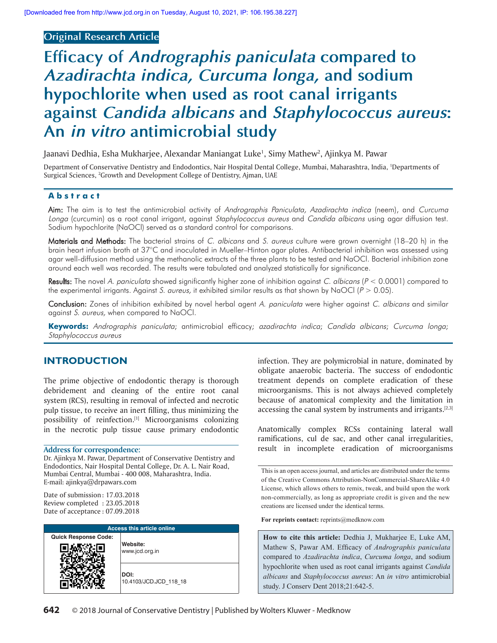# **Original Research Article**

# **Efficacy of Andrographis paniculata compared to Azadirachta indica, Curcuma longa, and sodium hypochlorite when used as root canal irrigants against Candida albicans and Staphylococcus aureus: An in vitro antimicrobial study**

Jaanavi Dedhia, Esha Mukharjee, Alexandar Maniangat Luke<sup>1</sup>, Simy Mathew<sup>2</sup>, Ajinkya M. Pawar

Department of Conservative Dentistry and Endodontics, Nair Hospital Dental College, Mumbai, Maharashtra, India, <sup>1</sup>Departments of Surgical Sciences, <sup>2</sup>Growth and Development College of Dentistry, Ajman, UAE

#### **Abstract**

Aim: The aim is to test the antimicrobial activity of Andrographis Paniculata, Azadirachta indica (neem), and Curcuma Longa (curcumin) as a root canal irrigant, against Staphylococcus aureus and Candida albicans using agar diffusion test. Sodium hypochlorite (NaOCl) served as a standard control for comparisons.

Materials and Methods: The bacterial strains of C. albicans and S. aureus culture were grown overnight (18-20 h) in the brain heart infusion broth at 37°C and inoculated in Mueller–Hinton agar plates. Antibacterial inhibition was assessed using agar well‑diffusion method using the methanolic extracts of the three plants to be tested and NaOCl. Bacterial inhibition zone around each well was recorded. The results were tabulated and analyzed statistically for significance.

Results: The novel A. paniculata showed significantly higher zone of inhibition against C. albicans (P < 0.0001) compared to the experimental irrigants. Against S. aureus, it exhibited similar results as that shown by NaOCl ( $P > 0.05$ ).

Conclusion: Zones of inhibition exhibited by novel herbal agent A. paniculata were higher against C. albicans and similar against S. aureus, when compared to NaOCl.

**Keywords:** Andrographis paniculata; antimicrobial efficacy; azadirachta indica; Candida albicans; Curcuma longa; Staphylococcus aureus

# **INTRODUCTION**

The prime objective of endodontic therapy is thorough debridement and cleaning of the entire root canal system (RCS), resulting in removal of infected and necrotic pulp tissue, to receive an inert filling, thus minimizing the possibility of reinfection.<sup>[1]</sup> Microorganisms colonizing in the necrotic pulp tissue cause primary endodontic

Dr. Ajinkya M. Pawar, Department of Conservative Dentistry and Endodontics, Nair Hospital Dental College, Dr. A. L. Nair Road, Mumbai Central, Mumbai ‑ 400 008, Maharashtra, India. E‑mail: ajinkya@drpawars.com

Date of submission : 17.03.2018 Review completed : 23.05.2018 Date of acceptance : 07.09.2018

| <b>Access this article online</b> |                                |  |  |
|-----------------------------------|--------------------------------|--|--|
| <b>Quick Response Code:</b>       | Website:<br>www.jcd.org.in     |  |  |
|                                   | DOI:<br>10.4103/JCD.JCD 118 18 |  |  |

infection. They are polymicrobial in nature, dominated by obligate anaerobic bacteria. The success of endodontic treatment depends on complete eradication of these microorganisms. This is not always achieved completely because of anatomical complexity and the limitation in accessing the canal system by instruments and irrigants.<sup>[2,3]</sup>

Anatomically complex RCSs containing lateral wall ramifications, cul de sac, and other canal irregularities, **Address for correspondence:** result in incomplete eradication of microorganisms

**For reprints contact:** reprints@medknow.com

**How to cite this article:** Dedhia J, Mukharjee E, Luke AM, Mathew S, Pawar AM. Efficacy of *Andrographis paniculata*  compared to *Azadirachta indica*, *Curcuma longa*, and sodium hypochlorite when used as root canal irrigants against *Candida albicans* and *Staphylococcus aureus*: An *in vitro* antimicrobial study. J Conserv Dent 2018;21:642-5.

This is an open access journal, and articles are distributed under the terms of the Creative Commons Attribution‑NonCommercial‑ShareAlike 4.0 License, which allows others to remix, tweak, and build upon the work non‑commercially, as long as appropriate credit is given and the new creations are licensed under the identical terms.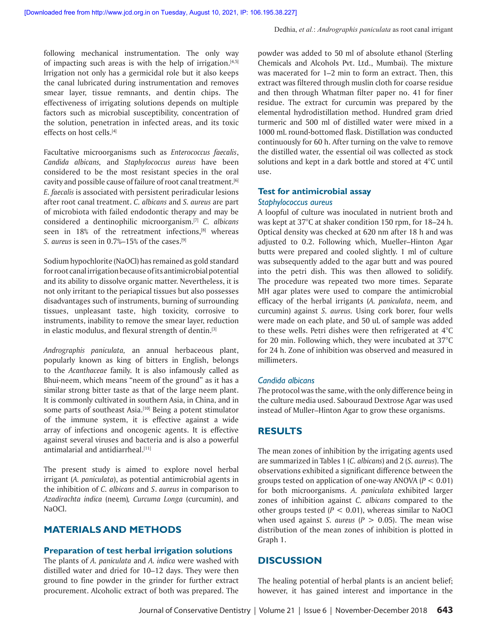following mechanical instrumentation. The only way of impacting such areas is with the help of irrigation.<sup>[4,5]</sup> Irrigation not only has a germicidal role but it also keeps the canal lubricated during instrumentation and removes smear layer, tissue remnants, and dentin chips. The effectiveness of irrigating solutions depends on multiple factors such as microbial susceptibility, concentration of the solution, penetration in infected areas, and its toxic effects on host cells.[4]

Facultative microorganisms such as *Enterococcus faecalis*, *Candida albicans,* and *Staphylococcus aureus* have been considered to be the most resistant species in the oral cavity and possible cause of failure of root canal treatment.<sup>[6]</sup> *E. faecalis* is associated with persistent periradicular lesions after root canal treatment. *C. albicans* and *S. aureus* are part of microbiota with failed endodontic therapy and may be considered a dentinophilic microorganism.[7] *C. albicans* seen in 18% of the retreatment infections, $[8]$  whereas *S. aureus* is seen in 0.7%–15% of the cases.[9]

Sodium hypochlorite (NaOCl) has remained as gold standard for root canal irrigation because of its antimicrobial potential and its ability to dissolve organic matter. Nevertheless, it is not only irritant to the periapical tissues but also possesses disadvantages such of instruments, burning of surrounding tissues, unpleasant taste, high toxicity, corrosive to instruments, inability to remove the smear layer, reduction in elastic modulus, and flexural strength of dentin.<sup>[3]</sup>

*Andrographis paniculata,* an annual herbaceous plant, popularly known as king of bitters in English, belongs to the *Acanthaceae* family. It is also infamously called as Bhui-neem, which means "neem of the ground" as it has a similar strong bitter taste as that of the large neem plant. It is commonly cultivated in southern Asia, in China, and in some parts of southeast Asia.<sup>[10]</sup> Being a potent stimulator of the immune system, it is effective against a wide array of infections and oncogenic agents. It is effective against several viruses and bacteria and is also a powerful antimalarial and antidiarrheal.[11]

The present study is aimed to explore novel herbal irrigant (*A. paniculata*), as potential antimicrobial agents in the inhibition of *C. albicans* and *S*. *aureus* in comparison to *Azadirachta indica* (neem)*, Curcuma Longa* (curcumin), and NaOCl.

### **MATERIALS AND METHODS**

#### **Preparation of test herbal irrigation solutions**

The plants of *A. paniculata* and *A. indica* were washed with distilled water and dried for 10–12 days. They were then ground to fine powder in the grinder for further extract procurement. Alcoholic extract of both was prepared. The

powder was added to 50 ml of absolute ethanol (Sterling Chemicals and Alcohols Pvt. Ltd., Mumbai). The mixture was macerated for 1–2 min to form an extract. Then, this extract was filtered through muslin cloth for coarse residue and then through Whatman filter paper no. 41 for finer residue. The extract for curcumin was prepared by the elemental hydrodistillation method. Hundred gram dried turmeric and 500 ml of distilled water were mixed in a 1000 mL round‑bottomed flask. Distillation was conducted continuously for 60 h. After turning on the valve to remove the distilled water, the essential oil was collected as stock solutions and kept in a dark bottle and stored at 4°C until use.

# **Test for antimicrobial assay**

#### *Staphylococcus aureus*

A loopful of culture was inoculated in nutrient broth and was kept at 37°C at shaker condition 150 rpm, for 18–24 h. Optical density was checked at 620 nm after 18 h and was adjusted to 0.2. Following which, Mueller–Hinton Agar butts were prepared and cooled slightly. 1 ml of culture was subsequently added to the agar butt and was poured into the petri dish. This was then allowed to solidify. The procedure was repeated two more times. Separate MH agar plates were used to compare the antimicrobial efficacy of the herbal irrigants (*A. paniculata*, neem, and curcumin) against *S. aureus.* Using cork borer, four wells were made on each plate, and 50 uL of sample was added to these wells. Petri dishes were then refrigerated at 4°C for 20 min. Following which, they were incubated at 37°C for 24 h. Zone of inhibition was observed and measured in millimeters.

#### *Candida albicans*

*T*he protocol was the same, with the only difference being in the culture media used. Sabouraud Dextrose Agar was used instead of Muller–Hinton Agar to grow these organisms.

#### **RESULTS**

The mean zones of inhibition by the irrigating agents used are summarized in Tables 1 (*C. albicans*) and 2 (*S. aureus*). The observations exhibited a significant difference between the groups tested on application of one-way ANOVA  $(P < 0.01)$ for both microorganisms. *A. paniculata* exhibited larger zones of inhibition against *C. albicans* compared to the other groups tested  $(P < 0.01)$ , whereas similar to NaOCl when used against *S. aureus* ( $P > 0.05$ ). The mean wise distribution of the mean zones of inhibition is plotted in Graph 1.

## **DISCUSSION**

The healing potential of herbal plants is an ancient belief; however, it has gained interest and importance in the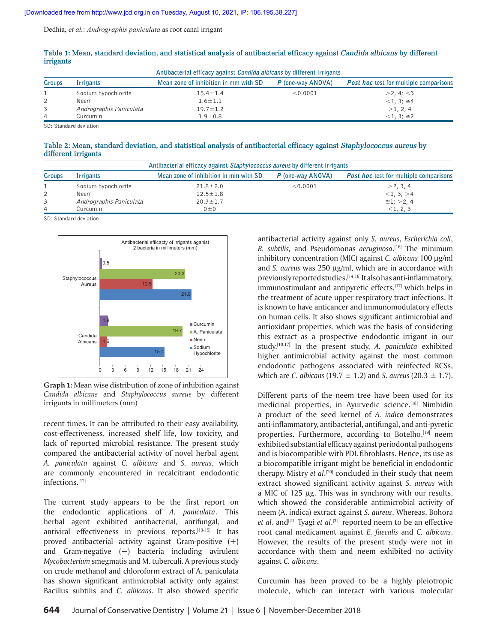Dedhia, *et al.*: *Andrographis paniculata* as root canal irrigant

| Antibacterial efficacy against <i>Candida albicans</i> by different irrigants |                         |                                       |                   |                                               |  |  |
|-------------------------------------------------------------------------------|-------------------------|---------------------------------------|-------------------|-----------------------------------------------|--|--|
| Groups                                                                        | <b>Irrigants</b>        | Mean zone of inhibition in mm with SD | P (one-way ANOVA) | <b>Post hoc</b> test for multiple comparisons |  |  |
|                                                                               | Sodium hypochlorite     | $15.4 \pm 1.4$                        | < 0.0001          | >2, 4; <3                                     |  |  |
|                                                                               | Neem                    | $1.6 \pm 1.1$                         |                   | $<1, 3; \approx 4$                            |  |  |
| 3                                                                             | Andrographis Paniculata | $19.7 \pm 1.2$                        |                   | >1, 2, 4                                      |  |  |
| $\overline{4}$                                                                | Curcumin                | $1.9 \pm 0.8$                         |                   | $<1, 3; \approx 2$                            |  |  |

| Table 1: Mean, standard deviation, and statistical analysis of antibacterial efficacy against Candida albicans by different |  |  |  |  |  |
|-----------------------------------------------------------------------------------------------------------------------------|--|--|--|--|--|
| <i>irrigants</i>                                                                                                            |  |  |  |  |  |

SD: Standard deviation

**Table 2: Mean, standard deviation, and statistical analysis of antibacterial efficacy against Staphylococcus aureus by different irrigants**

| Antibacterial efficacy against Staphylococcus aureus by different irrigants |                         |                                       |                   |                                               |  |  |
|-----------------------------------------------------------------------------|-------------------------|---------------------------------------|-------------------|-----------------------------------------------|--|--|
| Groups                                                                      | Irrigants               | Mean zone of inhibition in mm with SD | P (one-way ANOVA) | <b>Post hoc</b> test for multiple comparisons |  |  |
|                                                                             | Sodium hypochlorite     | $21.8 \pm 2.0$                        | < 0.0001          | >2, 3, 4                                      |  |  |
| $\overline{2}$                                                              | Neem                    | $12.5 \pm 1.8$                        |                   | <1, 3; >4                                     |  |  |
|                                                                             | Andrographis Paniculata | $20.3 \pm 1.7$                        |                   | $\approx$ 1; >2, 4                            |  |  |
| 4                                                                           | Curcumin                | $0 \pm 0$                             |                   | <1, 2, 3                                      |  |  |

SD: Standard deviation



**Graph 1:** Mean wise distribution of zone of inhibition against *Candida albicans* and *Staphylococcus aureus* by different irrigants in millimeters (mm)

recent times. It can be attributed to their easy availability, cost-effectiveness, increased shelf life, low toxicity, and lack of reported microbial resistance. The present study compared the antibacterial activity of novel herbal agent *A. paniculata* against *C. albicans* and *S. aureus*, which are commonly encountered in recalcitrant endodontic infections.[12]

The current study appears to be the first report on the endodontic applications of *A. paniculata*. This herbal agent exhibited antibacterial, antifungal, and antiviral effectiveness in previous reports.[13‑15] It has proved antibacterial activity against Gram-positive  $(+)$ and Gram‑negative (−) bacteria including avirulent *Mycobacterium* smegmatis and M. tuberculi. A previous study on crude methanol and chloroform extract of A. paniculata has shown significant antimicrobial activity only against Bacillus subtilis and *C. albicans*. It also showed specific

antibacterial activity against only *S. aureus*, *Escherichia coli*, *B. subtilis,* and Pseudomonas *aeruginosa*. [16] The minimum inhibitory concentration (MIC) against *C. albicans* 100 μg/ml and *S. aureus* was 250 μg/ml, which are in accordance with previously reported studies.<sup>[14,16]</sup> It also has anti-inflammatory, immunostimulant and antipyretic effects, $[17]$  which helps in the treatment of acute upper respiratory tract infections. It is known to have anticancer and immunomodulatory effects on human cells. It also shows significant antimicrobial and antioxidant properties, which was the basis of considering this extract as a prospective endodontic irrigant in our study.[10,17] In the present study, *A. paniculata* exhibited higher antimicrobial activity against the most common endodontic pathogens associated with reinfected RCSs, which are *C. albicans* (19.7 ± 1.2) and *S. aureus* (20.3 ± 1.7).

Different parts of the neem tree have been used for its medicinal properties, in Ayurvedic science.<sup>[18]</sup> Nimbidin a product of the seed kernel of *A. indica* demonstrates anti-inflammatory, antibacterial, antifungal, and anti-pyretic properties. Furthermore, according to Botelho, [19] neem exhibited substantial efficacy against periodontal pathogens and is biocompatible with PDL fibroblasts. Hence, its use as a biocompatible irrigant might be beneficial in endodontic therapy. Mistry *et al*. [20] concluded in their study that neem extract showed significant activity against *S. aureus* with a MIC of 125 μg. This was in synchrony with our results, which showed the considerable antimicrobial activity of neem (A. indica) extract against *S. aureus*. Whereas, Bohora et al. and<sup>[21]</sup> Tyagi et al.<sup>[3]</sup> reported neem to be an effective root canal medicament against *E. faecalis* and *C. albicans*. However, the results of the present study were not in accordance with them and neem exhibited no activity against *C. albicans*.

Curcumin has been proved to be a highly pleiotropic molecule, which can interact with various molecular